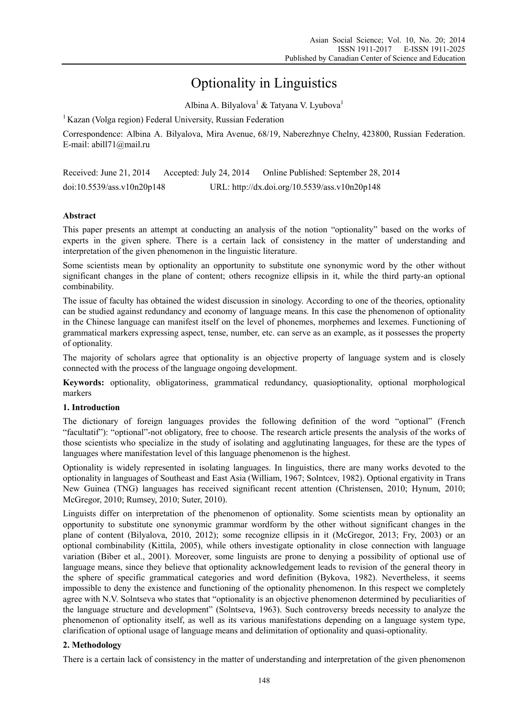# Optionality in Linguistics

Albina A. Bilyalova<sup>1</sup> & Tatyana V. Lyubova<sup>1</sup>

<sup>1</sup> Kazan (Volga region) Federal University, Russian Federation

Correspondence: Albina A. Bilyalova, Mira Avenue, 68/19, Naberezhnye Chelny, 423800, Russian Federation. E-mail: abill71@mail.ru

| Received: June 21, 2014    | Accepted: July 24, 2014 | Online Published: September 28, 2014          |
|----------------------------|-------------------------|-----------------------------------------------|
| doi:10.5539/ass.v10n20p148 |                         | URL: http://dx.doi.org/10.5539/ass.v10n20p148 |

## **Abstract**

This paper presents an attempt at conducting an analysis of the notion "optionality" based on the works of experts in the given sphere. There is a certain lack of consistency in the matter of understanding and interpretation of the given phenomenon in the linguistic literature.

Some scientists mean by optionality an opportunity to substitute one synonymic word by the other without significant changes in the plane of content; others recognize ellipsis in it, while the third party-an optional combinability.

The issue of faculty has obtained the widest discussion in sinology. According to one of the theories, optionality can be studied against redundancy and economy of language means. In this case the phenomenon of optionality in the Chinese language can manifest itself on the level of phonemes, morphemes and lexemes. Functioning of grammatical markers expressing aspect, tense, number, etc. can serve as an example, as it possesses the property of optionality.

The majority of scholars agree that optionality is an objective property of language system and is closely connected with the process of the language ongoing development.

**Keywords:** optionality, obligatoriness, grammatical redundancy, quasioptionality, optional morphological markers

## **1. Introduction**

The dictionary of foreign languages provides the following definition of the word "optional" (French "facultatif"): "optional"-not obligatory, free to choose. The research article presents the analysis of the works of those scientists who specialize in the study of isolating and agglutinating languages, for these are the types of languages where manifestation level of this language phenomenon is the highest.

Optionality is widely represented in isolating languages. In linguistics, there are many works devoted to the optionality in languages of Southeast and East Asia (William, 1967; Solntcev, 1982). Optional ergativity in Trans New Guinea (TNG) languages has received significant recent attention (Christensen, 2010; Hynum, 2010; McGregor, 2010; Rumsey, 2010; Suter, 2010).

Linguists differ on interpretation of the phenomenon of optionality. Some scientists mean by optionality an opportunity to substitute one synonymic grammar wordform by the other without significant changes in the plane of content (Bilyalova, 2010, 2012); some recognize ellipsis in it (McGregor, 2013; Fry, 2003) or an optional combinability (Kittila, 2005), while others investigate optionality in close connection with language variation (Biber et al., 2001). Moreover, some linguists are prone to denying a possibility of optional use of language means, since they believe that optionality acknowledgement leads to revision of the general theory in the sphere of specific grammatical categories and word definition (Bykova, 1982). Nevertheless, it seems impossible to deny the existence and functioning of the optionality phenomenon. In this respect we completely agree with N.V. Solntseva who states that "optionality is an objective phenomenon determined by peculiarities of the language structure and development" (Solntseva, 1963). Such controversy breeds necessity to analyze the phenomenon of optionality itself, as well as its various manifestations depending on a language system type, clarification of optional usage of language means and delimitation of optionality and quasi-optionality.

## **2. Methodology**

There is a certain lack of consistency in the matter of understanding and interpretation of the given phenomenon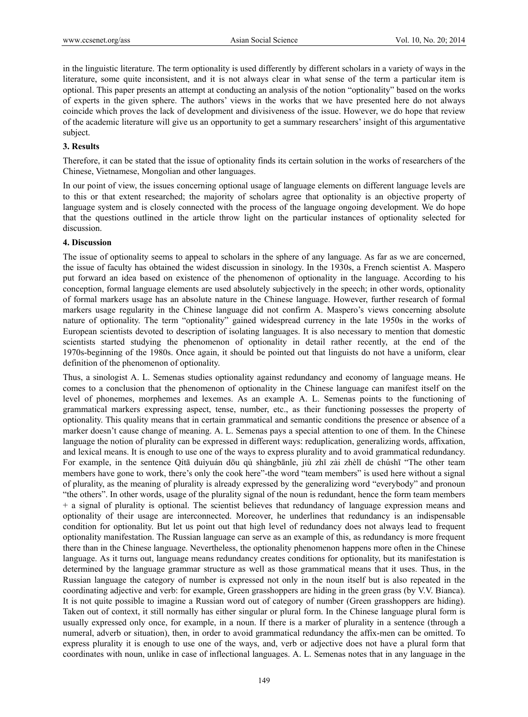in the linguistic literature. The term optionality is used differently by different scholars in a variety of ways in the literature, some quite inconsistent, and it is not always clear in what sense of the term a particular item is optional. This paper presents an attempt at conducting an analysis of the notion "optionality" based on the works of experts in the given sphere. The authors' views in the works that we have presented here do not always coincide which proves the lack of development and divisiveness of the issue. However, we do hope that review of the academic literature will give us an opportunity to get a summary researchers' insight of this argumentative subject.

#### **3. Results**

Therefore, it can be stated that the issue of optionality finds its certain solution in the works of researchers of the Chinese, Vietnamese, Mongolian and other languages.

In our point of view, the issues concerning optional usage of language elements on different language levels are to this or that extent researched; the majority of scholars agree that optionality is an objective property of language system and is closely connected with the process of the language ongoing development. We do hope that the questions outlined in the article throw light on the particular instances of optionality selected for discussion.

#### **4. Discussion**

The issue of optionality seems to appeal to scholars in the sphere of any language. As far as we are concerned, the issue of faculty has obtained the widest discussion in sinology. In the 1930s, a French scientist A. Maspero put forward an idea based on existence of the phenomenon of optionality in the language. According to his conception, formal language elements are used absolutely subjectively in the speech; in other words, optionality of formal markers usage has an absolute nature in the Chinese language. However, further research of formal markers usage regularity in the Chinese language did not confirm A. Maspero's views concerning absolute nature of optionality. The term "optionality" gained widespread currency in the late 1950s in the works of European scientists devoted to description of isolating languages. It is also necessary to mention that domestic scientists started studying the phenomenon of optionality in detail rather recently, at the end of the 1970s-beginning of the 1980s. Once again, it should be pointed out that linguists do not have a uniform, clear definition of the phenomenon of optionality.

Thus, a sinologist A. L. Semenas studies optionality against redundancy and economy of language means. He comes to a conclusion that the phenomenon of optionality in the Chinese language can manifest itself on the level of phonemes, morphemes and lexemes. As an example A. L. Semenas points to the functioning of grammatical markers expressing aspect, tense, number, etc., as their functioning possesses the property of optionality. This quality means that in certain grammatical and semantic conditions the presence or absence of a marker doesn't cause change of meaning. A. L. Semenas pays a special attention to one of them. In the Chinese language the notion of plurality can be expressed in different ways: reduplication, generalizing words, affixation, and lexical means. It is enough to use one of the ways to express plurality and to avoid grammatical redundancy. For example, in the sentence Qítā duìyuán dōu qù shàngbānle, jiù zhǐ zài zhèlǐ de chúshī "The other team members have gone to work, there's only the cook here"-the word "team members" is used here without a signal of plurality, as the meaning of plurality is already expressed by the generalizing word "everybody" and pronoun "the others". In other words, usage of the plurality signal of the noun is redundant, hence the form team members + a signal of plurality is optional. The scientist believes that redundancy of language expression means and optionality of their usage are interconnected. Moreover, he underlines that redundancy is an indispensable condition for optionality. But let us point out that high level of redundancy does not always lead to frequent optionality manifestation. The Russian language can serve as an example of this, as redundancy is more frequent there than in the Chinese language. Nevertheless, the optionality phenomenon happens more often in the Chinese language. As it turns out, language means redundancy creates conditions for optionality, but its manifestation is determined by the language grammar structure as well as those grammatical means that it uses. Thus, in the Russian language the category of number is expressed not only in the noun itself but is also repeated in the coordinating adjective and verb: for example, Green grasshoppers are hiding in the green grass (by V.V. Bianca). It is not quite possible to imagine a Russian word out of category of number (Green grasshoppers are hiding). Taken out of context, it still normally has either singular or plural form. In the Chinese language plural form is usually expressed only once, for example, in a noun. If there is a marker of plurality in a sentence (through a numeral, adverb or situation), then, in order to avoid grammatical redundancy the affix-men can be omitted. To express plurality it is enough to use one of the ways, and, verb or adjective does not have a plural form that coordinates with noun, unlike in case of inflectional languages. A. L. Semenas notes that in any language in the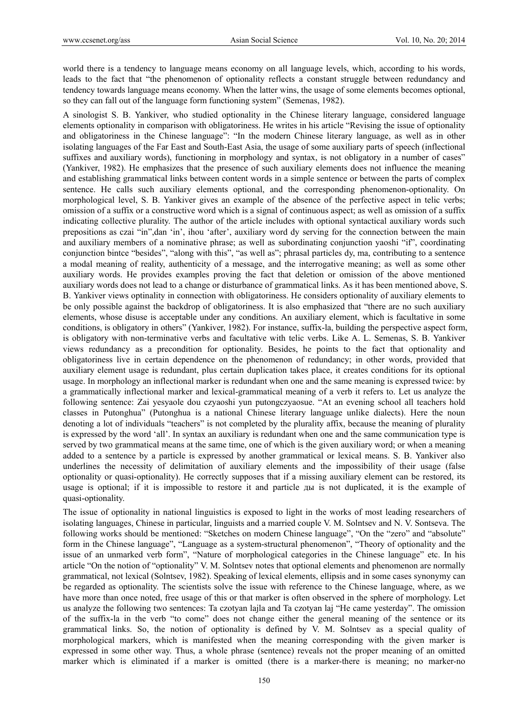world there is a tendency to language means economy on all language levels, which, according to his words, leads to the fact that "the phenomenon of optionality reflects a constant struggle between redundancy and tendency towards language means economy. When the latter wins, the usage of some elements becomes optional, so they can fall out of the language form functioning system" (Semenas, 1982).

A sinologist S. B. Yankiver, who studied optionality in the Chinese literary language, considered language elements optionality in comparison with obligatoriness. He writes in his article "Revising the issue of optionality and obligatoriness in the Chinese language": "In the modern Chinese literary language, as well as in other isolating languages of the Far East and South-East Asia, the usage of some auxiliary parts of speech (inflectional suffixes and auxiliary words), functioning in morphology and syntax, is not obligatory in a number of cases" (Yankiver, 1982). He emphasizes that the presence of such auxiliary elements does not influence the meaning and establishing grammatical links between content words in a simple sentence or between the parts of complex sentence. He calls such auxiliary elements optional, and the corresponding phenomenon-optionality. On morphological level, S. B. Yankiver gives an example of the absence of the perfective aspect in telic verbs; omission of a suffix or a constructive word which is a signal of continuous aspect; as well as omission of a suffix indicating collective plurality. The author of the article includes with optional syntactical auxiliary words such prepositions as czai "in",dan 'in', ihou 'after', auxiliary word dy serving for the connection between the main and auxiliary members of a nominative phrase; as well as subordinating conjunction yaoshi "if", coordinating conjunction bintce "besides", "along with this", "as well as"; phrasal particles dy, ma, contributing to a sentence a modal meaning of reality, authenticity of a message, and the interrogative meaning; as well as some other auxiliary words. He provides examples proving the fact that deletion or omission of the above mentioned auxiliary words does not lead to a change or disturbance of grammatical links. As it has been mentioned above, S. B. Yankiver views optinality in connection with obligatoriness. He considers optionality of auxiliary elements to be only possible against the backdrop of obligatoriness. It is also emphasized that "there are no such auxiliary elements, whose disuse is acceptable under any conditions. An auxiliary element, which is facultative in some conditions, is obligatory in others" (Yankiver, 1982). For instance, suffix-lа, building the perspective aspect form, is obligatory with non-terminative verbs and facultative with telic verbs. Like A. L. Semenas, S. B. Yankiver views redundancy as a precondition for optionality. Besides, he points to the fact that optionality and obligatoriness live in certain dependence on the phenomenon of redundancy; in other words, provided that auxiliary element usage is redundant, plus certain duplication takes place, it creates conditions for its optional usage. In morphology an inflectional marker is redundant when one and the same meaning is expressed twice: by a grammatically inflectional marker and lexical-grammatical meaning of a verb it refers to. Let us analyze the following sentence: Zai yesyaole dou czyaoshi yun putongczyaosue. "At an evening school all teachers hold classes in Putonghua" (Putonghua is a national Chinese literary language unlike dialects). Here the noun denoting a lot of individuals "teachers" is not completed by the plurality affix, because the meaning of plurality is expressed by the word 'all'. In syntax an auxiliary is redundant when one and the same communication type is served by two grammatical means at the same time, one of which is the given auxiliary word; or when a meaning added to a sentence by a particle is expressed by another grammatical or lexical means. S. B. Yankiver also underlines the necessity of delimitation of auxiliary elements and the impossibility of their usage (false optionality or quasi-optionality). He correctly supposes that if a missing auxiliary element can be restored, its usage is optional; if it is impossible to restore it and particle ды is not duplicated, it is the example of quasi-optionality.

The issue of optionality in national linguistics is exposed to light in the works of most leading researchers of isolating languages, Chinese in particular, linguists and a married couple V. M. Solntsev and N. V. Sontseva. The following works should be mentioned: "Sketches on modern Chinese language", "On the "zero" and "absolute" form in the Chinese language", "Language as a system-structural phenomenon", "Theory of optionality and the issue of an unmarked verb form", "Nature of morphological categories in the Chinese language" etc. In his article "On the notion of "optionality" V. M. Solntsev notes that optional elements and phenomenon are normally grammatical, not lexical (Solntsev, 1982). Speaking of lexical elements, ellipsis and in some cases synonymy can be regarded as optionality. The scientists solve the issue with reference to the Chinese language, where, as we have more than once noted, free usage of this or that marker is often observed in the sphere of morphology. Let us analyze the following two sentences: Ta czotyan lajla and Ta czotyan laj "He came yesterday". The omission of the suffix-la in the verb "to come" does not change either the general meaning of the sentence or its grammatical links. So, the notion of optionality is defined by V. M. Solntsev as a special quality of morphological markers, which is manifested when the meaning corresponding with the given marker is expressed in some other way. Thus, a whole phrase (sentence) reveals not the proper meaning of an omitted marker which is eliminated if a marker is omitted (there is a marker-there is meaning; no marker-no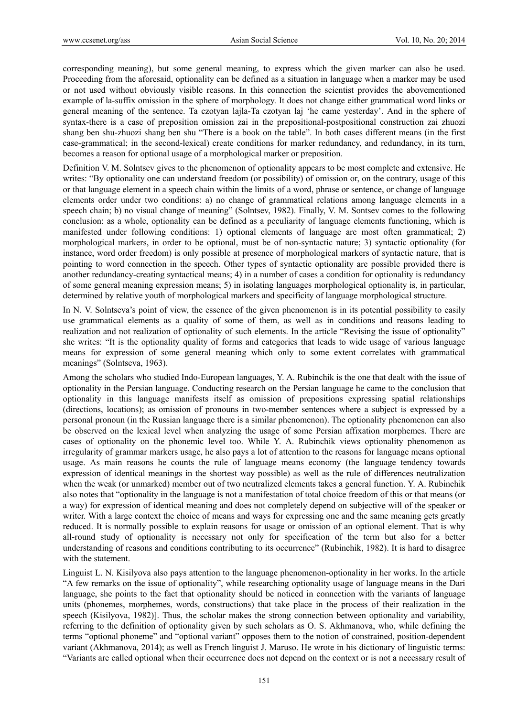corresponding meaning), but some general meaning, to express which the given marker can also be used. Proceeding from the aforesaid, optionality can be defined as a situation in language when a marker may be used or not used without obviously visible reasons. In this connection the scientist provides the abovementioned example of la-suffix omission in the sphere of morphology. It does not change either grammatical word links or general meaning of the sentence. Ta czotyan lajla-Ta czotyan laj 'he came yesterday'. And in the sphere of syntax-there is a case of preposition omission zai in the prepositional-postpositional construction zai zhuozi shang ben shu-zhuozi shang ben shu "There is a book on the table". In both cases different means (in the first case-grammatical; in the second-lexical) create conditions for marker redundancy, and redundancy, in its turn, becomes a reason for optional usage of a morphological marker or preposition.

Definition V. M. Solntsev gives to the phenomenon of optionality appears to be most complete and extensive. He writes: "By optionality one can understand freedom (or possibility) of omission or, on the contrary, usage of this or that language element in a speech chain within the limits of a word, phrase or sentence, or change of language elements order under two conditions: a) no change of grammatical relations among language elements in a speech chain; b) no visual change of meaning" (Solntsev, 1982). Finally, V. M. Sontsev comes to the following conclusion: as a whole, optionality can be defined as a peculiarity of language elements functioning, which is manifested under following conditions: 1) optional elements of language are most often grammatical; 2) morphological markers, in order to be optional, must be of non-syntactic nature; 3) syntactic optionality (for instance, word order freedom) is only possible at presence of morphological markers of syntactic nature, that is pointing to word connection in the speech. Other types of syntactic optionality are possible provided there is another redundancy-creating syntactical means; 4) in a number of cases a condition for optionality is redundancy of some general meaning expression means; 5) in isolating languages morphological optionality is, in particular, determined by relative youth of morphological markers and specificity of language morphological structure.

In N. V. Solntseva's point of view, the essence of the given phenomenon is in its potential possibility to easily use grammatical elements as a quality of some of them, as well as in conditions and reasons leading to realization and not realization of optionality of such elements. In the article "Revising the issue of optionality" she writes: "It is the optionality quality of forms and categories that leads to wide usage of various language means for expression of some general meaning which only to some extent correlates with grammatical meanings" (Solntseva, 1963).

Among the scholars who studied Indo-European languages, Y. A. Rubinchik is the one that dealt with the issue of optionality in the Persian language. Conducting research on the Persian language he came to the conclusion that optionality in this language manifests itself as omission of prepositions expressing spatial relationships (directions, locations); as omission of pronouns in two-member sentences where a subject is expressed by a personal pronoun (in the Russian language there is a similar phenomenon). The optionality phenomenon can also be observed on the lexical level when analyzing the usage of some Persian affixation morphemes. There are cases of optionality on the phonemic level too. While Y. A. Rubinchik views optionality phenomenon as irregularity of grammar markers usage, he also pays a lot of attention to the reasons for language means optional usage. As main reasons he counts the rule of language means economy (the language tendency towards expression of identical meanings in the shortest way possible) as well as the rule of differences neutralization when the weak (or unmarked) member out of two neutralized elements takes a general function. Y. A. Rubinchik also notes that "optionality in the language is not a manifestation of total choice freedom of this or that means (or a way) for expression of identical meaning and does not completely depend on subjective will of the speaker or writer. With a large context the choice of means and ways for expressing one and the same meaning gets greatly reduced. It is normally possible to explain reasons for usage or omission of an optional element. That is why all-round study of optionality is necessary not only for specification of the term but also for a better understanding of reasons and conditions contributing to its occurrence" (Rubinchik, 1982). It is hard to disagree with the statement.

Linguist L. N. Kisilyova also pays attention to the language phenomenon-optionality in her works. In the article "A few remarks on the issue of optionality", while researching optionality usage of language means in the Dari language, she points to the fact that optionality should be noticed in connection with the variants of language units (phonemes, morphemes, words, constructions) that take place in the process of their realization in the speech (Kisilyova, 1982)]. Thus, the scholar makes the strong connection between optionality and variability, referring to the definition of optionality given by such scholars as O. S. Akhmanova, who, while defining the terms "optional phoneme" and "optional variant" opposes them to the notion of constrained, position-dependent variant (Akhmanova, 2014); as well as French linguist J. Maruso. He wrote in his dictionary of linguistic terms: "Variants are called optional when their occurrence does not depend on the context or is not a necessary result of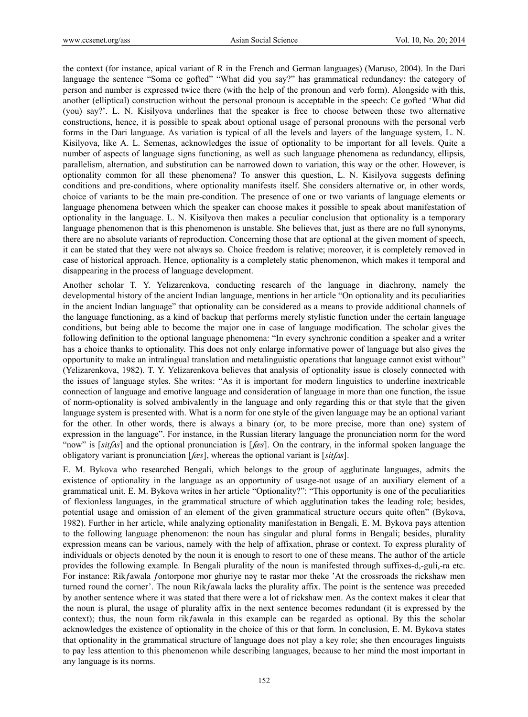the context (for instance, apical variant of R in the French and German languages) (Maruso, 2004). In the Dari language the sentence "Soma ce gofted" "What did you say?" has grammatical redundancy: the category of person and number is expressed twice there (with the help of the pronoun and verb form). Alongside with this, another (elliptical) construction without the personal pronoun is acceptable in the speech: Ce gofted 'What did (you) say?'. L. N. Kisilyova underlines that the speaker is free to choose between these two alternative constructions, hence, it is possible to speak about optional usage of personal pronouns with the personal verb forms in the Dari language. As variation is typical of all the levels and layers of the language system, L. N. Kisilyova, like A. L. Semenas, acknowledges the issue of optionality to be important for all levels. Quite a number of aspects of language signs functioning, as well as such language phenomena as redundancy, ellipsis, parallelism, alternation, and substitution can be narrowed down to variation, this way or the other. However, is optionality common for all these phenomena? To answer this question, L. N. Kisilyova suggests defining conditions and pre-conditions, where optionality manifests itself. She considers alternative or, in other words, choice of variants to be the main pre-condition. The presence of one or two variants of language elements or language phenomena between which the speaker can choose makes it possible to speak about manifestation of optionality in the language. L. N. Kisilyova then makes a peculiar conclusion that optionality is a temporary language phenomenon that is this phenomenon is unstable. She believes that, just as there are no full synonyms, there are no absolute variants of reproduction. Concerning those that are optional at the given moment of speech, it can be stated that they were not always so. Choice freedom is relative; moreover, it is completely removed in case of historical approach. Hence, optionality is a completely static phenomenon, which makes it temporal and disappearing in the process of language development.

Another scholar T. Y. Yelizarenkova, conducting research of the language in diachrony, namely the developmental history of the ancient Indian language, mentions in her article "On optionality and its peculiarities in the ancient Indian language" that optionality can be considered as a means to provide additional channels of the language functioning, as a kind of backup that performs merely stylistic function under the certain language conditions, but being able to become the major one in case of language modification. The scholar gives the following definition to the optional language phenomena: "In every synchronic condition a speaker and a writer has a choice thanks to optionality. This does not only enlarge informative power of language but also gives the opportunity to make an intralingual translation and metalinguistic operations that language cannot exist without" (Yelizarenkova, 1982). T. Y. Yelizarenkova believes that analysis of optionality issue is closely connected with the issues of language styles. She writes: "As it is important for modern linguistics to underline inextricable connection of language and emotive language and consideration of language in more than one function, the issue of norm-optionality is solved ambivalently in the language and only regarding this or that style that the given language system is presented with. What is a norm for one style of the given language may be an optional variant for the other. In other words, there is always a binary (or, to be more precise, more than one) system of expression in the language". For instance, in the Russian literary language the pronunciation norm for the word "now" is [ $sit/As$ ] and the optional pronunciation is [ $l$ *æs*]. On the contrary, in the informal spoken language the obligatory variant is pronunciation [ʃ*æs*], whereas the optional variant is [*sit*ʃʌ*s*].

E. M. Bykova who researched Bengali, which belongs to the group of agglutinate languages, admits the existence of optionality in the language as an opportunity of usage-not usage of an auxiliary element of a grammatical unit. E. M. Bykova writes in her article "Optionality?": "This opportunity is one of the peculiarities of flexionless languages, in the grammatical structure of which agglutination takes the leading role; besides, potential usage and omission of an element of the given grammatical structure occurs quite often" (Bykova, 1982). Further in her article, while analyzing optionality manifestation in Bengali, E. M. Bykova pays attention to the following language phenomenon: the noun has singular and plural forms in Bengali; besides, plurality expression means can be various, namely with the help of affixation, phrase or context. To express plurality of individuals or objects denoted by the noun it is enough to resort to one of these means. The author of the article provides the following example. In Bengali plurality of the noun is manifested through suffixes-d,-guli,-ra etc. For instance: Rikfawala fontorpone mor ghuriye nəy te rastar mor theke 'At the crossroads the rickshaw men turned round the corner'. The noun Rikƒawala lacks the plurality affix. The point is the sentence was preceded by another sentence where it was stated that there were a lot of rickshaw men. As the context makes it clear that the noun is plural, the usage of plurality affix in the next sentence becomes redundant (it is expressed by the context); thus, the noun form rik fawala in this example can be regarded as optional. By this the scholar acknowledges the existence of optionality in the choice of this or that form. In conclusion, E. M. Bykova states that optionality in the grammatical structure of language does not play a key role; she then encourages linguists to pay less attention to this phenomenon while describing languages, because to her mind the most important in any language is its norms.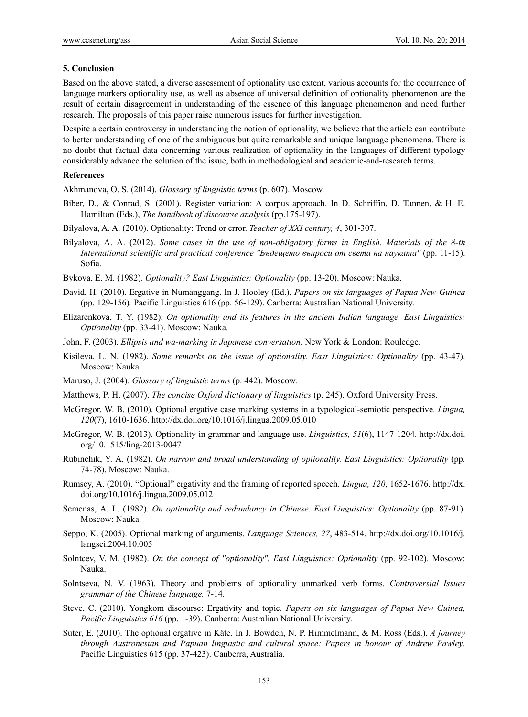#### **5. Conclusion**

Based on the above stated, a diverse assessment of optionality use extent, various accounts for the occurrence of language markers optionality use, as well as absence of universal definition of optionality phenomenon are the result of certain disagreement in understanding of the essence of this language phenomenon and need further research. The proposals of this paper raise numerous issues for further investigation.

Despite a certain controversy in understanding the notion of optionality, we believe that the article can contribute to better understanding of one of the ambiguous but quite remarkable and unique language phenomena. There is no doubt that factual data concerning various realization of optionality in the languages of different typology considerably advance the solution of the issue, both in methodological and academic-and-research terms.

#### **References**

Akhmanova, O. S. (2014). *Glossary of linguistic terms* (p. 607). Moscow.

- Biber, D., & Conrad, S. (2001). Register variation: A corpus approach*.* In D. Schriffin, D. Tannen, & H. E. Hamilton (Eds.), *The handbook of discourse analysis* (pp.175-197).
- Bilyalova, A. A. (2010). Optionality: Trend or error. *Teacher of XXI century, 4*, 301-307.
- Bilyalova, A. A. (2012). *Some cases in the use of non-obligatory forms in English. Materials of the 8-th International scientific and practical conference "Бъдещето въпроси от света на науката"* (pp. 11-15). Sofia.
- Bykova, E. M. (1982). *Optionality? East Linguistics: Optionality* (pp. 13-20). Moscow: Nauka.
- David, H. (2010). Ergative in Numanggang. In J. Hooley (Ed.), *Papers on six languages of Papua New Guinea* (pp. 129-156)*.* Pacific Linguistics 616 (pp. 56-129). Canberra: Australian National University.
- Elizarenkova, T. Y. (1982). *On optionality and its features in the ancient Indian language. East Linguistics: Optionality* (pp. 33-41). Moscow: Nauka.
- John, F. (2003). *Ellipsis and wa-marking in Japanese conversation*. New York & London: Rouledge.
- Kisileva, L. N. (1982). *Some remarks on the issue of optionality. East Linguistics: Optionality* (pp. 43-47). Moscow: Nauka.
- Maruso, J. (2004). *Glossary of linguistic terms* (p. 442). Moscow.
- Matthews, P. H. (2007). *The concise Oxford dictionary of linguistics* (p. 245). Oxford University Press.
- McGregor, W. B. (2010). Optional ergative case marking systems in a typological-semiotic perspective. *Lingua, 120*(7), 1610-1636. http://dx.doi.org/10.1016/j.lingua.2009.05.010
- McGregor, W. B. (2013). Optionality in grammar and language use. *Linguistics, 51*(6), 1147-1204. http://dx.doi. org/10.1515/ling-2013-0047
- Rubinchik, Y. A. (1982). *On narrow and broad understanding of optionality. East Linguistics: Optionality* (pp. 74-78). Moscow: Nauka.
- Rumsey, A. (2010). "Optional" ergativity and the framing of reported speech. *Lingua, 120*, 1652-1676. http://dx. doi.org/10.1016/j.lingua.2009.05.012
- Semenas, A. L. (1982). *On optionality and redundancy in Chinese. East Linguistics: Optionality* (pp. 87-91). Moscow: Nauka.
- Seppo, K. (2005). Optional marking of arguments. *Language Sciences, 27*, 483-514. http://dx.doi.org/10.1016/j. langsci.2004.10.005
- Solntcev, V. M. (1982). *On the concept of "optionality". East Linguistics: Optionality* (pp. 92-102). Moscow: Nauka.
- Solntseva, N. V. (1963). Theory and problems of optionality unmarked verb forms*. Controversial Issues grammar of the Chinese language,* 7-14.
- Steve, C. (2010). Yongkom discourse: Ergativity and topic. *Papers on six languages of Papua New Guinea, Pacific Linguistics 616* (pp. 1-39). Canberra: Australian National University.
- Suter, E. (2010). The optional ergative in Kâte. In J. Bowden, N. P. Himmelmann, & M. Ross (Eds.), *A journey through Austronesian and Papuan linguistic and cultural space: Papers in honour of Andrew Pawley*. Pacific Linguistics 615 (pp. 37-423). Canberra, Australia.